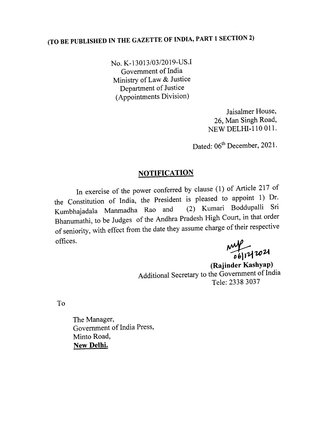## (TO BE PUBLISHED IN THE GAZETTE OF INDIA, PART 1 SECTION 2)

No. K-13013/03/2019-US.I Government of India Ministry of Law & Justice Department of Justice (Appointments Division)

> Jaisalmer House, 26, Man Singh Road, NEW DELHI-I10 OIl.

Dated: 06<sup>th</sup> December, 2021.

## **NOTIFICATION**

In exercise of the power conferred by clause (1) of Article 217 of the Constitution of India, the President is pleased to appoint 1) Dr.<br>Kumbhajadala Manmadha Rao and (2) Kumari Boddupalli Sri Kumbhajadala Manmadha Rao and Bhanumathi, to be Judges of the Andhra Pradesh High Court, in that order of seniority, with effect from the date they assume charge of their respective offices.

 $^{16}$   $^{17}$   $^{102}$ 

(Rajinder Kashyap) Additional Secretary to the Government of India Tele: 2338 3037

To

The Manager, Government of India Press, Minto Road, New Delhi.